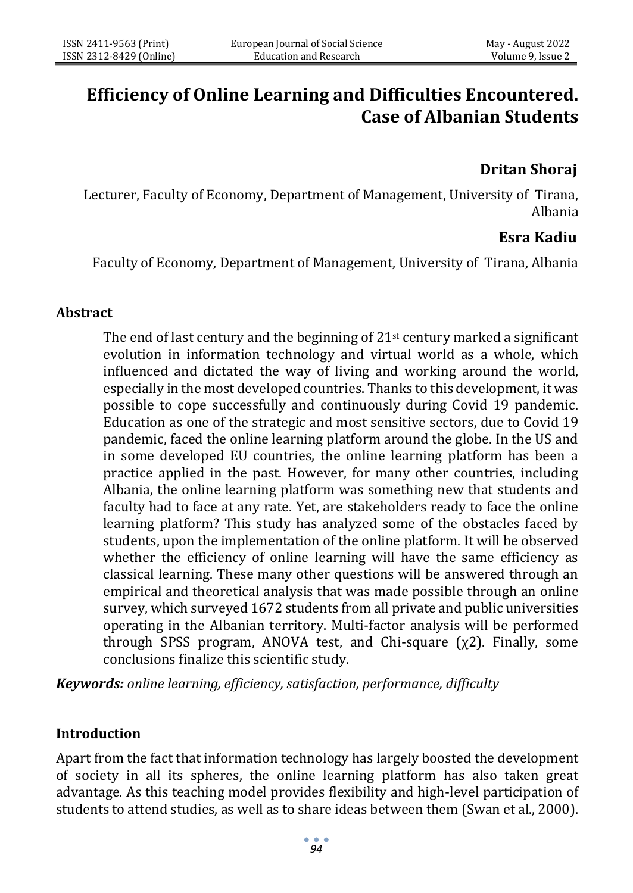# **Efficiency of Online Learning and Difficulties Encountered. Case of Albanian Students**

# **Dritan Shoraj**

Lecturer, Faculty of Economy, Department of Management, University of Tirana, Albania

# **Esra Kadiu**

Faculty of Economy, Department of Management, University of Tirana, Albania

## **Abstract**

The end of last century and the beginning of  $21<sup>st</sup>$  century marked a significant evolution in information technology and virtual world as a whole, which influenced and dictated the way of living and working around the world, especially in the most developed countries. Thanks to this development, it was possible to cope successfully and continuously during Covid 19 pandemic. Education as one of the strategic and most sensitive sectors, due to Covid 19 pandemic, faced the online learning platform around the globe. In the US and in some developed EU countries, the online learning platform has been a practice applied in the past. However, for many other countries, including Albania, the online learning platform was something new that students and faculty had to face at any rate. Yet, are stakeholders ready to face the online learning platform? This study has analyzed some of the obstacles faced by students, upon the implementation of the online platform. It will be observed whether the efficiency of online learning will have the same efficiency as classical learning. These many other questions will be answered through an empirical and theoretical analysis that was made possible through an online survey, which surveyed 1672 students from all private and public universities operating in the Albanian territory. Multi-factor analysis will be performed through SPSS program, ANOVA test, and Chi-square  $(\chi^2)$ . Finally, some conclusions finalize this scientific study.

*Keywords: online learning, efficiency, satisfaction, performance, difficulty*

#### **Introduction**

Apart from the fact that information technology has largely boosted the development of society in all its spheres, the online learning platform has also taken great advantage. As this teaching model provides flexibility and high-level participation of students to attend studies, as well as to share ideas between them (Swan et al., 2000).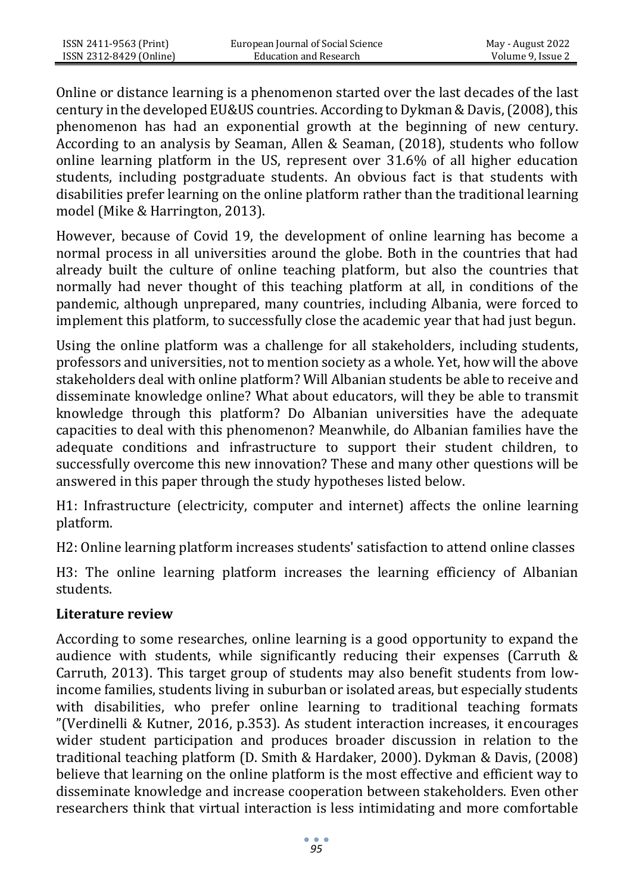Online or distance learning is a phenomenon started over the last decades of the last century in the developed EU&US countries. According to Dykman & Davis, (2008), this phenomenon has had an exponential growth at the beginning of new century. According to an analysis by Seaman, Allen & Seaman, (2018), students who follow online learning platform in the US, represent over 31.6% of all higher education students, including postgraduate students. An obvious fact is that students with disabilities prefer learning on the online platform rather than the traditional learning model (Mike & Harrington, 2013).

However, because of Covid 19, the development of online learning has become a normal process in all universities around the globe. Both in the countries that had already built the culture of online teaching platform, but also the countries that normally had never thought of this teaching platform at all, in conditions of the pandemic, although unprepared, many countries, including Albania, were forced to implement this platform, to successfully close the academic year that had just begun.

Using the online platform was a challenge for all stakeholders, including students, professors and universities, not to mention society as a whole. Yet, how will the above stakeholders deal with online platform? Will Albanian students be able to receive and disseminate knowledge online? What about educators, will they be able to transmit knowledge through this platform? Do Albanian universities have the adequate capacities to deal with this phenomenon? Meanwhile, do Albanian families have the adequate conditions and infrastructure to support their student children, to successfully overcome this new innovation? These and many other questions will be answered in this paper through the study hypotheses listed below.

H1: Infrastructure (electricity, computer and internet) affects the online learning platform.

H2: Online learning platform increases students' satisfaction to attend online classes

H3: The online learning platform increases the learning efficiency of Albanian students.

#### **Literature review**

According to some researches, online learning is a good opportunity to expand the audience with students, while significantly reducing their expenses (Carruth & Carruth, 2013). This target group of students may also benefit students from lowincome families, students living in suburban or isolated areas, but especially students with disabilities, who prefer online learning to traditional teaching formats "(Verdinelli & Kutner, 2016, p.353). As student interaction increases, it encourages wider student participation and produces broader discussion in relation to the traditional teaching platform (D. Smith & Hardaker, 2000). Dykman & Davis, (2008) believe that learning on the online platform is the most effective and efficient way to disseminate knowledge and increase cooperation between stakeholders. Even other researchers think that virtual interaction is less intimidating and more comfortable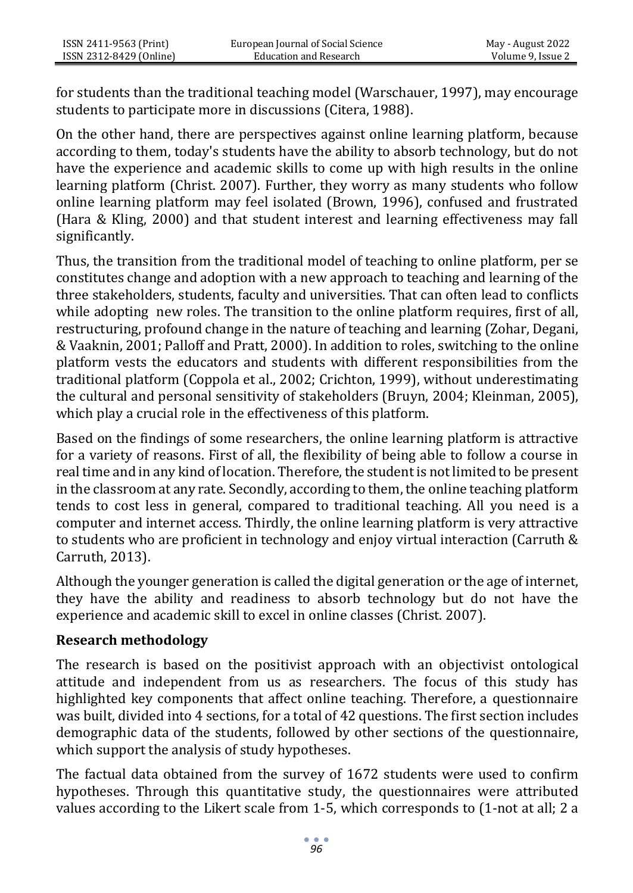for students than the traditional teaching model (Warschauer, 1997), may encourage students to participate more in discussions (Citera, 1988).

On the other hand, there are perspectives against online learning platform, because according to them, today's students have the ability to absorb technology, but do not have the experience and academic skills to come up with high results in the online learning platform (Christ. 2007). Further, they worry as many students who follow online learning platform may feel isolated (Brown, 1996), confused and frustrated (Hara & Kling, 2000) and that student interest and learning effectiveness may fall significantly.

Thus, the transition from the traditional model of teaching to online platform, per se constitutes change and adoption with a new approach to teaching and learning of the three stakeholders, students, faculty and universities. That can often lead to conflicts while adopting new roles. The transition to the online platform requires, first of all, restructuring, profound change in the nature of teaching and learning (Zohar, Degani, & Vaaknin, 2001; Palloff and Pratt, 2000). In addition to roles, switching to the online platform vests the educators and students with different responsibilities from the traditional platform (Coppola et al., 2002; Crichton, 1999), without underestimating the cultural and personal sensitivity of stakeholders (Bruyn, 2004; Kleinman, 2005), which play a crucial role in the effectiveness of this platform.

Based on the findings of some researchers, the online learning platform is attractive for a variety of reasons. First of all, the flexibility of being able to follow a course in real time and in any kind of location. Therefore, the student is not limited to be present in the classroom at any rate. Secondly, according to them, the online teaching platform tends to cost less in general, compared to traditional teaching. All you need is a computer and internet access. Thirdly, the online learning platform is very attractive to students who are proficient in technology and enjoy virtual interaction (Carruth & Carruth, 2013).

Although the younger generation is called the digital generation or the age of internet, they have the ability and readiness to absorb technology but do not have the experience and academic skill to excel in online classes (Christ. 2007).

#### **Research methodology**

The research is based on the positivist approach with an objectivist ontological attitude and independent from us as researchers. The focus of this study has highlighted key components that affect online teaching. Therefore, a questionnaire was built, divided into 4 sections, for a total of 42 questions. The first section includes demographic data of the students, followed by other sections of the questionnaire, which support the analysis of study hypotheses.

The factual data obtained from the survey of 1672 students were used to confirm hypotheses. Through this quantitative study, the questionnaires were attributed values according to the Likert scale from 1-5, which corresponds to (1-not at all; 2 a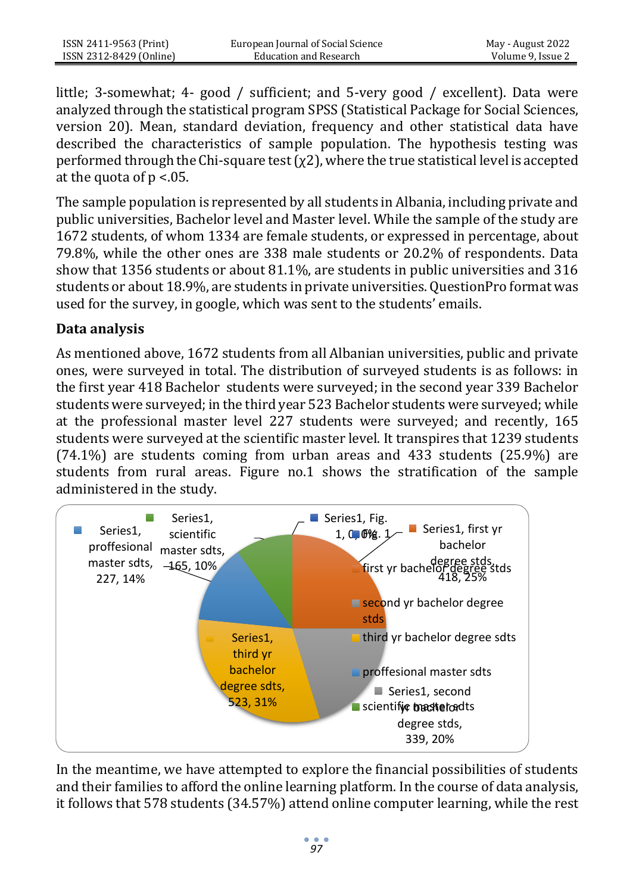little; 3-somewhat; 4- good / sufficient; and 5-very good / excellent). Data were analyzed through the statistical program SPSS (Statistical Package for Social Sciences, version 20). Mean, standard deviation, frequency and other statistical data have described the characteristics of sample population. The hypothesis testing was performed through the Chi-square test  $(\chi^2)$ , where the true statistical level is accepted at the quota of  $p < 0.05$ .

The sample population is represented by all students in Albania, including private and public universities, Bachelor level and Master level. While the sample of the study are 1672 students, of whom 1334 are female students, or expressed in percentage, about 79.8%, while the other ones are 338 male students or 20.2% of respondents. Data show that 1356 students or about 81.1%, are students in public universities and 316 students or about 18.9%, are students in private universities. QuestionPro format was used for the survey, in google, which was sent to the students' emails.

## **Data analysis**

As mentioned above, 1672 students from all Albanian universities, public and private ones, were surveyed in total. The distribution of surveyed students is as follows: in the first year 418 Bachelor students were surveyed; in the second year 339 Bachelor students were surveyed; in the third year 523 Bachelor students were surveyed; while at the professional master level 227 students were surveyed; and recently, 165 students were surveyed at the scientific master level. It transpires that 1239 students (74.1%) are students coming from urban areas and 433 students (25.9%) are students from rural areas. Figure no.1 shows the stratification of the sample administered in the study.



In the meantime, we have attempted to explore the financial possibilities of students and their families to afford the online learning platform. In the course of data analysis, it follows that 578 students (34.57%) attend online computer learning, while the rest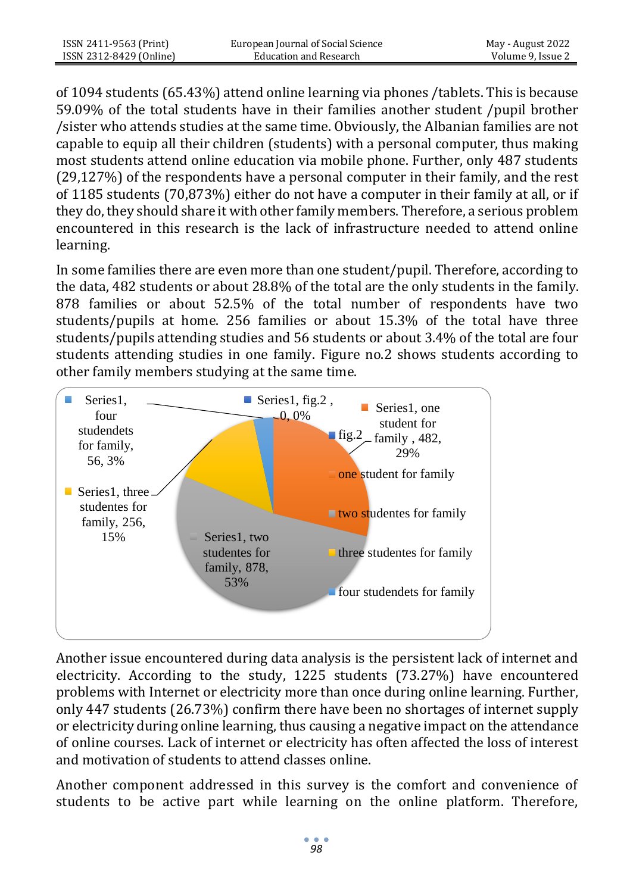of 1094 students (65.43%) attend online learning via phones /tablets. This is because 59.09% of the total students have in their families another student /pupil brother /sister who attends studies at the same time. Obviously, the Albanian families are not capable to equip all their children (students) with a personal computer, thus making most students attend online education via mobile phone. Further, only 487 students (29,127%) of the respondents have a personal computer in their family, and the rest of 1185 students (70,873%) either do not have a computer in their family at all, or if they do, they should share it with other family members. Therefore, a serious problem encountered in this research is the lack of infrastructure needed to attend online learning.

In some families there are even more than one student/pupil. Therefore, according to the data, 482 students or about 28.8% of the total are the only students in the family. 878 families or about 52.5% of the total number of respondents have two students/pupils at home. 256 families or about 15.3% of the total have three students/pupils attending studies and 56 students or about 3.4% of the total are four students attending studies in one family. Figure no.2 shows students according to other family members studying at the same time.



Another issue encountered during data analysis is the persistent lack of internet and electricity. According to the study, 1225 students (73.27%) have encountered problems with Internet or electricity more than once during online learning. Further, only 447 students (26.73%) confirm there have been no shortages of internet supply or electricity during online learning, thus causing a negative impact on the attendance of online courses. Lack of internet or electricity has often affected the loss of interest and motivation of students to attend classes online.

Another component addressed in this survey is the comfort and convenience of students to be active part while learning on the online platform. Therefore,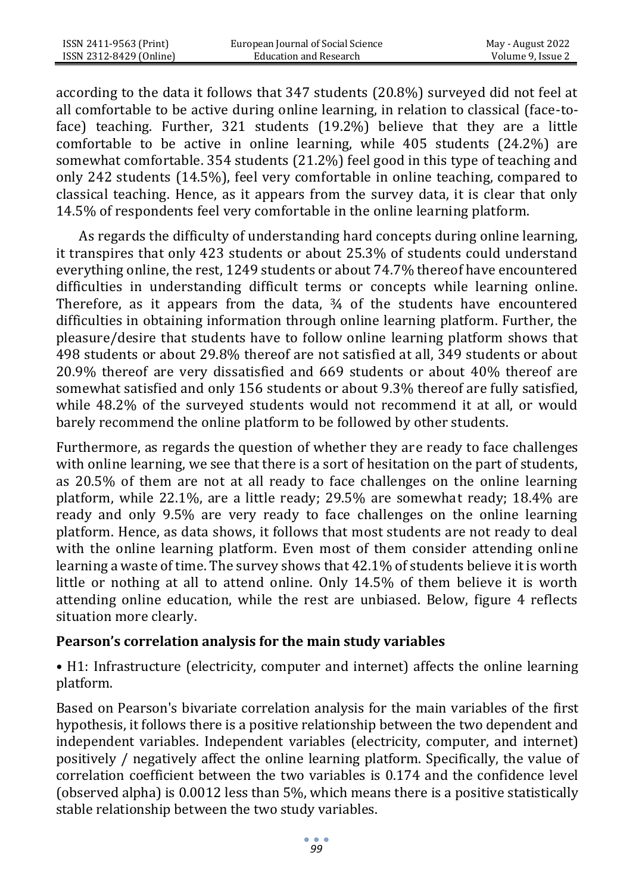according to the data it follows that 347 students (20.8%) surveyed did not feel at all comfortable to be active during online learning, in relation to classical (face-toface) teaching. Further, 321 students (19.2%) believe that they are a little comfortable to be active in online learning, while 405 students (24.2%) are somewhat comfortable. 354 students (21.2%) feel good in this type of teaching and only 242 students (14.5%), feel very comfortable in online teaching, compared to classical teaching. Hence, as it appears from the survey data, it is clear that only 14.5% of respondents feel very comfortable in the online learning platform.

 As regards the difficulty of understanding hard concepts during online learning, it transpires that only 423 students or about 25.3% of students could understand everything online, the rest, 1249 students or about 74.7% thereof have encountered difficulties in understanding difficult terms or concepts while learning online. Therefore, as it appears from the data,  $\frac{3}{4}$  of the students have encountered difficulties in obtaining information through online learning platform. Further, the pleasure/desire that students have to follow online learning platform shows that 498 students or about 29.8% thereof are not satisfied at all, 349 students or about 20.9% thereof are very dissatisfied and 669 students or about 40% thereof are somewhat satisfied and only 156 students or about 9.3% thereof are fully satisfied, while 48.2% of the surveyed students would not recommend it at all, or would barely recommend the online platform to be followed by other students.

Furthermore, as regards the question of whether they are ready to face challenges with online learning, we see that there is a sort of hesitation on the part of students, as 20.5% of them are not at all ready to face challenges on the online learning platform, while 22.1%, are a little ready; 29.5% are somewhat ready; 18.4% are ready and only 9.5% are very ready to face challenges on the online learning platform. Hence, as data shows, it follows that most students are not ready to deal with the online learning platform. Even most of them consider attending online learning a waste of time. The survey shows that 42.1% of students believe it is worth little or nothing at all to attend online. Only 14.5% of them believe it is worth attending online education, while the rest are unbiased. Below, figure 4 reflects situation more clearly.

#### **Pearson's correlation analysis for the main study variables**

• H1: Infrastructure (electricity, computer and internet) affects the online learning platform.

Based on Pearson's bivariate correlation analysis for the main variables of the first hypothesis, it follows there is a positive relationship between the two dependent and independent variables. Independent variables (electricity, computer, and internet) positively / negatively affect the online learning platform. Specifically, the value of correlation coefficient between the two variables is 0.174 and the confidence level (observed alpha) is 0.0012 less than 5%, which means there is a positive statistically stable relationship between the two study variables.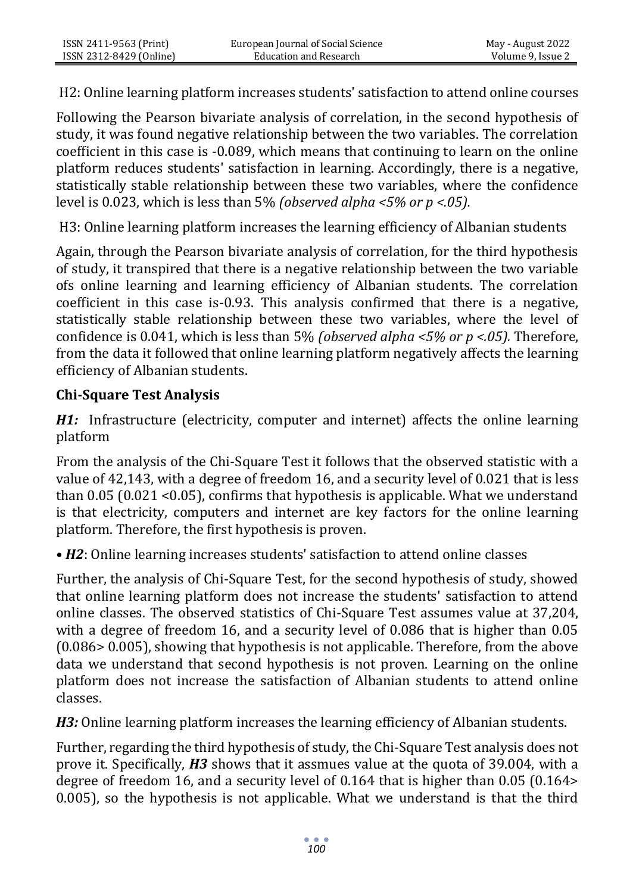H2: Online learning platform increases students' satisfaction to attend online courses

Following the Pearson bivariate analysis of correlation, in the second hypothesis of study, it was found negative relationship between the two variables. The correlation coefficient in this case is -0.089, which means that continuing to learn on the online platform reduces students' satisfaction in learning. Accordingly, there is a negative, statistically stable relationship between these two variables, where the confidence level is 0.023, which is less than 5% *(observed alpha <5% or p <.05).*

H3: Online learning platform increases the learning efficiency of Albanian students

Again, through the Pearson bivariate analysis of correlation, for the third hypothesis of study, it transpired that there is a negative relationship between the two variable ofs online learning and learning efficiency of Albanian students. The correlation coefficient in this case is-0.93. This analysis confirmed that there is a negative, statistically stable relationship between these two variables, where the level of confidence is 0.041, which is less than 5% *(observed alpha <5% or p <.05).* Therefore, from the data it followed that online learning platform negatively affects the learning efficiency of Albanian students.

## **Chi-Square Test Analysis**

*H1:* Infrastructure (electricity, computer and internet) affects the online learning platform

From the analysis of the Chi-Square Test it follows that the observed statistic with a value of 42,143, with a degree of freedom 16, and a security level of 0.021 that is less than 0.05 (0.021 <0.05), confirms that hypothesis is applicable. What we understand is that electricity, computers and internet are key factors for the online learning platform. Therefore, the first hypothesis is proven.

• *H2*: Online learning increases students' satisfaction to attend online classes

Further, the analysis of Chi-Square Test, for the second hypothesis of study, showed that online learning platform does not increase the students' satisfaction to attend online classes. The observed statistics of Chi-Square Test assumes value at 37,204, with a degree of freedom 16, and a security level of 0.086 that is higher than 0.05 (0.086> 0.005), showing that hypothesis is not applicable. Therefore, from the above data we understand that second hypothesis is not proven. Learning on the online platform does not increase the satisfaction of Albanian students to attend online classes.

*H3:* Online learning platform increases the learning efficiency of Albanian students.

Further, regarding the third hypothesis of study, the Chi-Square Test analysis does not prove it. Specifically, *H3* shows that it assmues value at the quota of 39.004, with a degree of freedom 16, and a security level of 0.164 that is higher than 0.05 (0.164> 0.005), so the hypothesis is not applicable. What we understand is that the third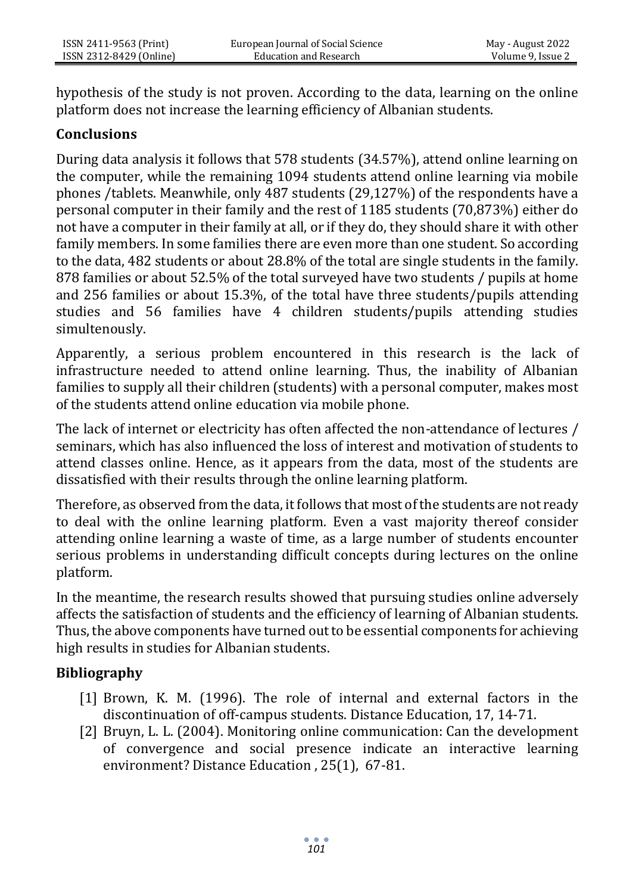hypothesis of the study is not proven. According to the data, learning on the online platform does not increase the learning efficiency of Albanian students.

#### **Conclusions**

During data analysis it follows that 578 students (34.57%), attend online learning on the computer, while the remaining 1094 students attend online learning via mobile phones /tablets. Meanwhile, only 487 students (29,127%) of the respondents have a personal computer in their family and the rest of 1185 students (70,873%) either do not have a computer in their family at all, or if they do, they should share it with other family members. In some families there are even more than one student. So according to the data, 482 students or about 28.8% of the total are single students in the family. 878 families or about 52.5% of the total surveyed have two students / pupils at home and 256 families or about 15.3%, of the total have three students/pupils attending studies and 56 families have 4 children students/pupils attending studies simultenously.

Apparently, a serious problem encountered in this research is the lack of infrastructure needed to attend online learning. Thus, the inability of Albanian families to supply all their children (students) with a personal computer, makes most of the students attend online education via mobile phone.

The lack of internet or electricity has often affected the non-attendance of lectures / seminars, which has also influenced the loss of interest and motivation of students to attend classes online. Hence, as it appears from the data, most of the students are dissatisfied with their results through the online learning platform.

Therefore, as observed from the data, it follows that most of the students are not ready to deal with the online learning platform. Even a vast majority thereof consider attending online learning a waste of time, as a large number of students encounter serious problems in understanding difficult concepts during lectures on the online platform.

In the meantime, the research results showed that pursuing studies online adversely affects the satisfaction of students and the efficiency of learning of Albanian students. Thus, the above components have turned out to be essential components for achieving high results in studies for Albanian students.

## **Bibliography**

- [1] Brown, K. M. (1996). The role of internal and external factors in the discontinuation of off-campus students. Distance Education, 17, 14-71.
- [2] Bruyn, L. L. (2004). Monitoring online communication: Can the development of convergence and social presence indicate an interactive learning environment? Distance Education , 25(1), 67-81.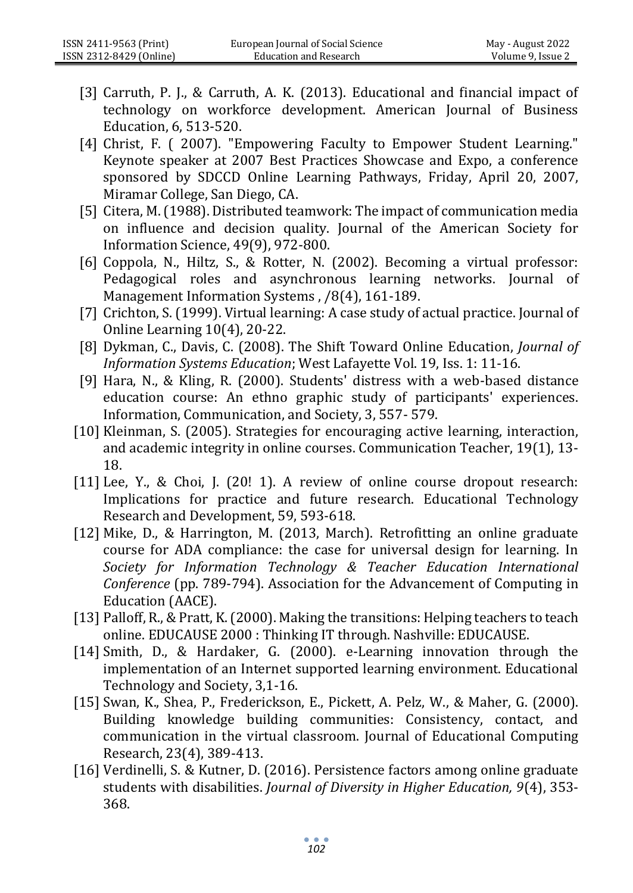- [3] Carruth, P. J., & Carruth, A. K. (2013). Educational and financial impact of technology on workforce development. American Journal of Business Education, 6, 513-520.
- [4] Christ, F. ( 2007). "Empowering Faculty to Empower Student Learning." Keynote speaker at 2007 Best Practices Showcase and Expo, a conference sponsored by SDCCD Online Learning Pathways, Friday, April 20, 2007, Miramar College, San Diego, CA.
- [5] Citera, M. (1988). Distributed teamwork: The impact of communication media on influence and decision quality. Journal of the American Society for Information Science, 49(9), 972-800.
- [6] Coppola, N., Hiltz, S., & Rotter, N. (2002). Becoming a virtual professor: Pedagogical roles and asynchronous learning networks. Journal of Management Information Systems , /8(4), 161-189.
- [7] Crichton, S. (1999). Virtual learning: A case study of actual practice. Journal of Online Learning 10(4), 20-22.
- [8] Dykman, C., Davis, C. (2008). The Shift Toward Online Education, *Journal of Information Systems Education*; West Lafayette Vol. 19, Iss. 1: 11-16.
- [9] Hara, N., & Kling, R. (2000). Students' distress with a web-based distance education course: An ethno graphic study of participants' experiences. Information, Communication, and Society, 3, 557- 579.
- [10] Kleinman, S. (2005). Strategies for encouraging active learning, interaction, and academic integrity in online courses. Communication Teacher, 19(1), 13- 18.
- [11] Lee, Y., & Choi, J. (20! 1). A review of online course dropout research: Implications for practice and future research. Educational Technology Research and Development, 59, 593-618.
- [12] Mike, D., & Harrington, M. (2013, March). Retrofitting an online graduate course for ADA compliance: the case for universal design for learning. In *Society for Information Technology & Teacher Education International Conference* (pp. 789-794). Association for the Advancement of Computing in Education (AACE).
- [13] Palloff, R., & Pratt, K. (2000). Making the transitions: Helping teachers to teach online. EDUCAUSE 2000 : Thinking IT through. Nashville: EDUCAUSE.
- [14] Smith, D., & Hardaker, G. (2000). e-Learning innovation through the implementation of an Internet supported learning environment. Educational Technology and Society, 3,1-16.
- [15] Swan, K., Shea, P., Frederickson, E., Pickett, A. Pelz, W., & Maher, G. (2000). Building knowledge building communities: Consistency, contact, and communication in the virtual classroom. Journal of Educational Computing Research, 23(4), 389-413.
- [16] Verdinelli, S. & Kutner, D. (2016). Persistence factors among online graduate students with disabilities. *Journal of Diversity in Higher Education, 9*(4), 353- 368.